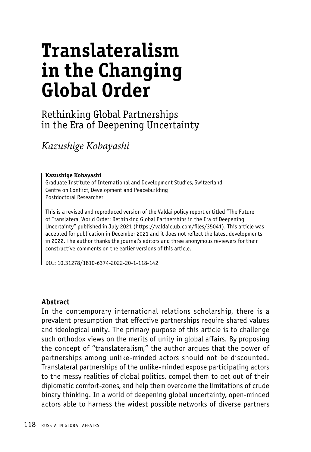# **Translateralism in the Changing Global Order**

## Rethinking Global Partnerships in the Era of Deepening Uncertainty

*Kazushige Kobayashi*

#### **Kazushige Kobayashi**

Graduate Institute of International and Development Studies, Switzerland Centre on Conflict, Development and Peacebuilding Postdoctoral Researcher

This is a revised and reproduced version of the Valdai policy report entitled "The Future of Translateral World Order: Rethinking Global Partnerships in the Era of Deepening Uncertainty" published in July 2021 (https://valdaiclub.com/files/35041). This article was accepted for publication in December 2021 and it does not reflect the latest developments in 2022. The author thanks the journal's editors and three anonymous reviewers for their constructive comments on the earlier versions of this article.

DOI: 10.31278/1810-6374-2022-20-1-118-142

#### **Abstract**

In the contemporary international relations scholarship, there is a prevalent presumption that effective partnerships require shared values and ideological unity. The primary purpose of this article is to challenge such orthodox views on the merits of unity in global affairs. By proposing the concept of "translateralism," the author argues that the power of partnerships among unlike-minded actors should not be discounted. Translateral partnerships of the unlike-minded expose participating actors to the messy realities of global politics, compel them to get out of their diplomatic comfort-zones, and help them overcome the limitations of crude binary thinking. In a world of deepening global uncertainty, open-minded actors able to harness the widest possible networks of diverse partners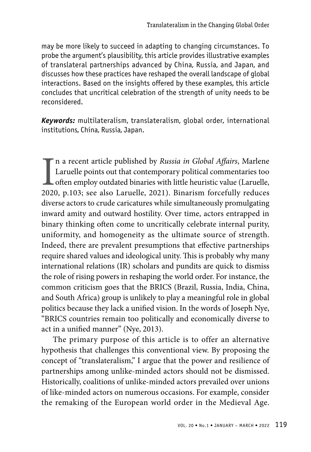may be more likely to succeed in adapting to changing circumstances. To probe the argument's plausibility, this article provides illustrative examples of translateral partnerships advanced by China, Russia, and Japan, and discusses how these practices have reshaped the overall landscape of global interactions. Based on the insights offered by these examples, this article concludes that uncritical celebration of the strength of unity needs to be reconsidered.

*Keywords:* multilateralism, translateralism, global order, international institutions, China, Russia, Japan.

 $\prod_{2020}$ n a recent article published by *Russia in Global Affairs*, Marlene Laruelle points out that contemporary political commentaries too often employ outdated binaries with little heuristic value (Laruelle, 2020, p.103; see also Laruelle, 2021). Binarism forcefully reduces diverse actors to crude caricatures while simultaneously promulgating inward amity and outward hostility. Over time, actors entrapped in binary thinking often come to uncritically celebrate internal purity, uniformity, and homogeneity as the ultimate source of strength. Indeed, there are prevalent presumptions that effective partnerships require shared values and ideological unity. This is probably why many international relations (IR) scholars and pundits are quick to dismiss the role of rising powers in reshaping the world order. For instance, the common criticism goes that the BRICS (Brazil, Russia, India, China, and South Africa) group is unlikely to play a meaningful role in global politics because they lack a unified vision. In the words of Joseph Nye, "BRICS countries remain too politically and economically diverse to act in a unified manner" (Nye, 2013).

The primary purpose of this article is to offer an alternative hypothesis that challenges this conventional view. By proposing the concept of "translateralism," I argue that the power and resilience of partnerships among unlike-minded actors should not be dismissed. Historically, coalitions of unlike-minded actors prevailed over unions of like-minded actors on numerous occasions. For example, consider the remaking of the European world order in the Medieval Age.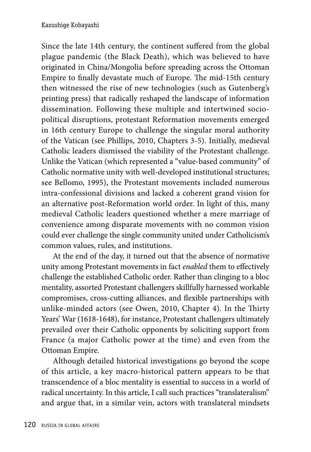Since the late 14th century, the continent suffered from the global plague pandemic (the Black Death), which was believed to have originated in China/Mongolia before spreading across the Ottoman Empire to finally devastate much of Europe. The mid-15th century then witnessed the rise of new technologies (such as Gutenberg's printing press) that radically reshaped the landscape of information dissemination. Following these multiple and intertwined sociopolitical disruptions, protestant Reformation movements emerged in 16th century Europe to challenge the singular moral authority of the Vatican (see Phillips, 2010, Chapters 3-5). Initially, medieval Catholic leaders dismissed the viability of the Protestant challenge. Unlike the Vatican (which represented a "value-based community" of Catholic normative unity with well-developed institutional structures; see Bellomo, 1995), the Protestant movements included numerous intra-confessional divisions and lacked a coherent grand vision for an alternative post-Reformation world order. In light of this, many medieval Catholic leaders questioned whether a mere marriage of convenience among disparate movements with no common vision could ever challenge the single community united under Catholicism's common values, rules, and institutions.

At the end of the day, it turned out that the absence of normative unity among Protestant movements in fact *enabled* them to effectively challenge the established Catholic order. Rather than clinging to a bloc mentality, assorted Protestant challengers skillfully harnessed workable compromises, cross-cutting alliances, and flexible partnerships with unlike-minded actors (see Owen, 2010, Chapter 4). In the Thirty Years' War (1618-1648), for instance, Protestant challengers ultimately prevailed over their Catholic opponents by soliciting support from France (a major Catholic power at the time) and even from the Ottoman Empire.

Although detailed historical investigations go beyond the scope of this article, a key macro-historical pattern appears to be that transcendence of a bloc mentality is essential to success in a world of radical uncertainty. In this article, I call such practices "translateralism" and argue that, in a similar vein, actors with translateral mindsets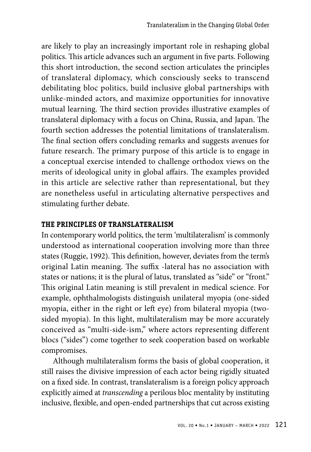are likely to play an increasingly important role in reshaping global politics. This article advances such an argument in five parts. Following this short introduction, the second section articulates the principles of translateral diplomacy, which consciously seeks to transcend debilitating bloc politics, build inclusive global partnerships with unlike-minded actors, and maximize opportunities for innovative mutual learning. The third section provides illustrative examples of translateral diplomacy with a focus on China, Russia, and Japan. The fourth section addresses the potential limitations of translateralism. The final section offers concluding remarks and suggests avenues for future research. The primary purpose of this article is to engage in a conceptual exercise intended to challenge orthodox views on the merits of ideological unity in global affairs. The examples provided in this article are selective rather than representational, but they are nonetheless useful in articulating alternative perspectives and stimulating further debate.

## **THE PRINCIPLES OF TRANSLATERALISM**

In contemporary world politics, the term 'multilateralism' is commonly understood as international cooperation involving more than three states (Ruggie, 1992). This definition, however, deviates from the term's original Latin meaning. The suffix -lateral has no association with states or nations; it is the plural of latus, translated as "side" or "front." This original Latin meaning is still prevalent in medical science. For example, ophthalmologists distinguish unilateral myopia (one-sided myopia, either in the right or left eye) from bilateral myopia (twosided myopia). In this light, multilateralism may be more accurately conceived as "multi-side-ism," where actors representing different blocs ("sides") come together to seek cooperation based on workable compromises.

Although multilateralism forms the basis of global cooperation, it still raises the divisive impression of each actor being rigidly situated on a fixed side. In contrast, translateralism is a foreign policy approach explicitly aimed at *transcending* a perilous bloc mentality by instituting inclusive, flexible, and open-ended partnerships that cut across existing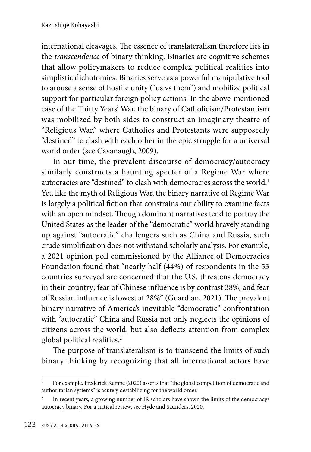international cleavages. The essence of translateralism therefore lies in the *transcendence* of binary thinking. Binaries are cognitive schemes that allow policymakers to reduce complex political realities into simplistic dichotomies. Binaries serve as a powerful manipulative tool to arouse a sense of hostile unity ("us vs them") and mobilize political support for particular foreign policy actions. In the above-mentioned case of the Thirty Years' War, the binary of Catholicism/Protestantism was mobilized by both sides to construct an imaginary theatre of "Religious War," where Catholics and Protestants were supposedly "destined" to clash with each other in the epic struggle for a universal world order (see Cavanaugh, 2009).

In our time, the prevalent discourse of democracy/autocracy similarly constructs a haunting specter of a Regime War where autocracies are "destined" to clash with democracies across the world.<sup>1</sup> Yet, like the myth of Religious War, the binary narrative of Regime War is largely a political fiction that constrains our ability to examine facts with an open mindset. Though dominant narratives tend to portray the United States as the leader of the "democratic" world bravely standing up against "autocratic" challengers such as China and Russia, such crude simplification does not withstand scholarly analysis. For example, a 2021 opinion poll commissioned by the Alliance of Democracies Foundation found that "nearly half (44%) of respondents in the 53 countries surveyed are concerned that the U.S. threatens democracy in their country; fear of Chinese influence is by contrast 38%, and fear of Russian influence is lowest at 28%" (Guardian, 2021). The prevalent binary narrative of America's inevitable "democratic" confrontation with "autocratic" China and Russia not only neglects the opinions of citizens across the world, but also deflects attention from complex global political realities.<sup>2</sup>

The purpose of translateralism is to transcend the limits of such binary thinking by recognizing that all international actors have

For example, Frederick Kempe (2020) asserts that "the global competition of democratic and authoritarian systems" is acutely destabilizing for the world order.

<sup>&</sup>lt;sup>2</sup> In recent years, a growing number of IR scholars have shown the limits of the democracy/ autocracy binary. For a critical review, see Hyde and Saunders, 2020.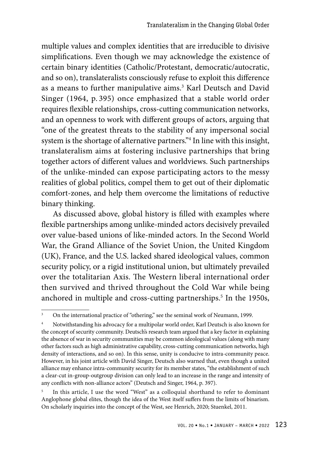multiple values and complex identities that are irreducible to divisive simplifications. Even though we may acknowledge the existence of certain binary identities (Catholic/Protestant, democratic/autocratic, and so on), translateralists consciously refuse to exploit this difference as a means to further manipulative aims.<sup>3</sup> Karl Deutsch and David Singer (1964, p. 395) once emphasized that a stable world order requires flexible relationships, cross-cutting communication networks, and an openness to work with different groups of actors, arguing that "one of the greatest threats to the stability of any impersonal social system is the shortage of alternative partners."4 In line with this insight, translateralism aims at fostering inclusive partnerships that bring together actors of different values and worldviews. Such partnerships of the unlike-minded can expose participating actors to the messy realities of global politics, compel them to get out of their diplomatic comfort-zones, and help them overcome the limitations of reductive binary thinking.

As discussed above, global history is filled with examples where flexible partnerships among unlike-minded actors decisively prevailed over value-based unions of like-minded actors. In the Second World War, the Grand Alliance of the Soviet Union, the United Kingdom (UK), France, and the U.S. lacked shared ideological values, common security policy, or a rigid institutional union, but ultimately prevailed over the totalitarian Axis. The Western liberal international order then survived and thrived throughout the Cold War while being anchored in multiple and cross-cutting partnerships.<sup>5</sup> In the 1950s,

<sup>&</sup>lt;sup>3</sup> On the international practice of "othering," see the seminal work of Neumann, 1999.

<sup>4</sup> Notwithstanding his advocacy for a multipolar world order, Karl Deutsch is also known for the concept of security community. Deutsch's research team argued that a key factor in explaining the absence of war in security communities may be common ideological values (along with many other factors such as high administrative capability, cross-cutting communication networks, high density of interactions, and so on). In this sense, unity is conducive to intra-community peace. However, in his joint article with David Singer, Deutsch also warned that, even though a united alliance may enhance intra-community security for its member states, "the establishment of such a clear-cut in-group-outgroup division can only lead to an increase in the range and intensity of any conflicts with non-alliance actors" (Deutsch and Singer, 1964, p. 397).

In this article, I use the word "West" as a colloquial shorthand to refer to dominant Anglophone global elites, though the idea of the West itself suffers from the limits of binarism. On scholarly inquiries into the concept of the West, see Henrich, 2020; Stuenkel, 2011.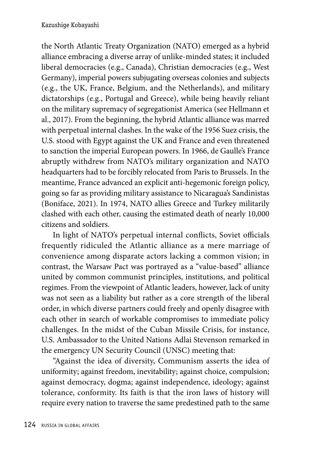the North Atlantic Treaty Organization (NATO) emerged as a hybrid alliance embracing a diverse array of unlike-minded states; it included liberal democracies (e.g., Canada), Christian democracies (e.g., West Germany), imperial powers subjugating overseas colonies and subjects (e.g., the UK, France, Belgium, and the Netherlands), and military dictatorships (e.g., Portugal and Greece), while being heavily reliant on the military supremacy of segregationist America (see Hellmann et al., 2017). From the beginning, the hybrid Atlantic alliance was marred with perpetual internal clashes. In the wake of the 1956 Suez crisis, the U.S. stood with Egypt against the UK and France and even threatened to sanction the imperial European powers. In 1966, de Gaulle's France abruptly withdrew from NATO's military organization and NATO headquarters had to be forcibly relocated from Paris to Brussels. In the meantime, France advanced an explicit anti-hegemonic foreign policy, going so far as providing military assistance to Nicaragua's Sandinistas (Boniface, 2021). In 1974, NATO allies Greece and Turkey militarily clashed with each other, causing the estimated death of nearly 10,000 citizens and soldiers.

In light of NATO's perpetual internal conflicts, Soviet officials frequently ridiculed the Atlantic alliance as a mere marriage of convenience among disparate actors lacking a common vision; in contrast, the Warsaw Pact was portrayed as a "value-based" alliance united by common communist principles, institutions, and political regimes. From the viewpoint of Atlantic leaders, however, lack of unity was not seen as a liability but rather as a core strength of the liberal order, in which diverse partners could freely and openly disagree with each other in search of workable compromises to immediate policy challenges. In the midst of the Cuban Missile Crisis, for instance, U.S. Ambassador to the United Nations Adlai Stevenson remarked in the emergency UN Security Council (UNSC) meeting that:

"Against the idea of diversity, Communism asserts the idea of uniformity; against freedom, inevitability; against choice, compulsion; against democracy, dogma; against independence, ideology; against tolerance, conformity. Its faith is that the iron laws of history will require every nation to traverse the same predestined path to the same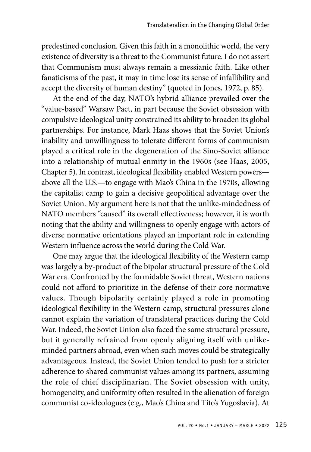predestined conclusion. Given this faith in a monolithic world, the very existence of diversity is a threat to the Communist future. I do not assert that Communism must always remain a messianic faith. Like other fanaticisms of the past, it may in time lose its sense of infallibility and accept the diversity of human destiny" (quoted in Jones, 1972, p. 85).

At the end of the day, NATO's hybrid alliance prevailed over the "value-based" Warsaw Pact, in part because the Soviet obsession with compulsive ideological unity constrained its ability to broaden its global partnerships. For instance, Mark Haas shows that the Soviet Union's inability and unwillingness to tolerate different forms of communism played a critical role in the degeneration of the Sino-Soviet alliance into a relationship of mutual enmity in the 1960s (see Haas, 2005, Chapter 5). In contrast, ideological flexibility enabled Western powers above all the U.S.—to engage with Mao's China in the 1970s, allowing the capitalist camp to gain a decisive geopolitical advantage over the Soviet Union. My argument here is not that the unlike-mindedness of NATO members "caused" its overall effectiveness; however, it is worth noting that the ability and willingness to openly engage with actors of diverse normative orientations played an important role in extending Western influence across the world during the Cold War.

One may argue that the ideological flexibility of the Western camp was largely a by-product of the bipolar structural pressure of the Cold War era. Confronted by the formidable Soviet threat, Western nations could not afford to prioritize in the defense of their core normative values. Though bipolarity certainly played a role in promoting ideological flexibility in the Western camp, structural pressures alone cannot explain the variation of translateral practices during the Cold War. Indeed, the Soviet Union also faced the same structural pressure, but it generally refrained from openly aligning itself with unlikeminded partners abroad, even when such moves could be strategically advantageous. Instead, the Soviet Union tended to push for a stricter adherence to shared communist values among its partners, assuming the role of chief disciplinarian. The Soviet obsession with unity, homogeneity, and uniformity often resulted in the alienation of foreign communist co-ideologues (e.g., Mao's China and Tito's Yugoslavia). At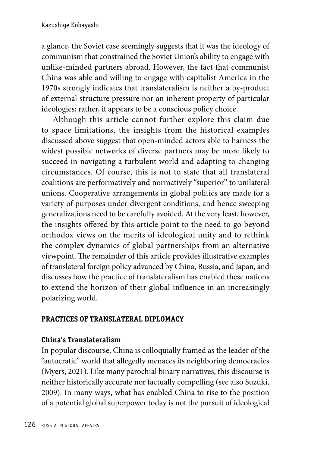a glance, the Soviet case seemingly suggests that it was the ideology of communism that constrained the Soviet Union's ability to engage with unlike-minded partners abroad. However, the fact that communist China was able and willing to engage with capitalist America in the 1970s strongly indicates that translateralism is neither a by-product of external structure pressure nor an inherent property of particular ideologies; rather, it appears to be a conscious policy choice.

Although this article cannot further explore this claim due to space limitations, the insights from the historical examples discussed above suggest that open-minded actors able to harness the widest possible networks of diverse partners may be more likely to succeed in navigating a turbulent world and adapting to changing circumstances. Of course, this is not to state that all translateral coalitions are performatively and normatively "superior" to unilateral unions. Cooperative arrangements in global politics are made for a variety of purposes under divergent conditions, and hence sweeping generalizations need to be carefully avoided. At the very least, however, the insights offered by this article point to the need to go beyond orthodox views on the merits of ideological unity and to rethink the complex dynamics of global partnerships from an alternative viewpoint. The remainder of this article provides illustrative examples of translateral foreign policy advanced by China, Russia, and Japan, and discusses how the practice of translateralism has enabled these nations to extend the horizon of their global influence in an increasingly polarizing world.

## **PRACTICES OF TRANSLATERAL DIPLOMACY**

## **China's Translateralism**

In popular discourse, China is colloquially framed as the leader of the "autocratic" world that allegedly menaces its neighboring democracies (Myers, 2021). Like many parochial binary narratives, this discourse is neither historically accurate nor factually compelling (see also Suzuki, 2009). In many ways, what has enabled China to rise to the position of a potential global superpower today is not the pursuit of ideological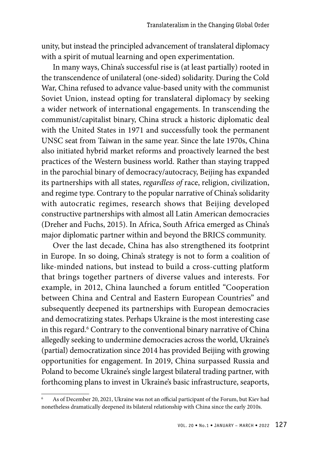unity, but instead the principled advancement of translateral diplomacy with a spirit of mutual learning and open experimentation.

In many ways, China's successful rise is (at least partially) rooted in the transcendence of unilateral (one-sided) solidarity. During the Cold War, China refused to advance value-based unity with the communist Soviet Union, instead opting for translateral diplomacy by seeking a wider network of international engagements. In transcending the communist/capitalist binary, China struck a historic diplomatic deal with the United States in 1971 and successfully took the permanent UNSC seat from Taiwan in the same year. Since the late 1970s, China also initiated hybrid market reforms and proactively learned the best practices of the Western business world. Rather than staying trapped in the parochial binary of democracy/autocracy, Beijing has expanded its partnerships with all states, *regardless of* race, religion, civilization, and regime type. Contrary to the popular narrative of China's solidarity with autocratic regimes, research shows that Beijing developed constructive partnerships with almost all Latin American democracies (Dreher and Fuchs, 2015). In Africa, South Africa emerged as China's major diplomatic partner within and beyond the BRICS community.

Over the last decade, China has also strengthened its footprint in Europe. In so doing, China's strategy is not to form a coalition of like-minded nations, but instead to build a cross-cutting platform that brings together partners of diverse values and interests. For example, in 2012, China launched a forum entitled "Cooperation between China and Central and Eastern European Countries" and subsequently deepened its partnerships with European democracies and democratizing states. Perhaps Ukraine is the most interesting case in this regard.<sup>6</sup> Contrary to the conventional binary narrative of China allegedly seeking to undermine democracies across the world, Ukraine's (partial) democratization since 2014 has provided Beijing with growing opportunities for engagement. In 2019, China surpassed Russia and Poland to become Ukraine's single largest bilateral trading partner, with forthcoming plans to invest in Ukraine's basic infrastructure, seaports,

As of December 20, 2021, Ukraine was not an official participant of the Forum, but Kiev had nonetheless dramatically deepened its bilateral relationship with China since the early 2010s.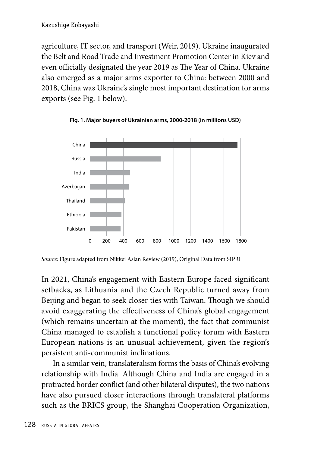agriculture, IT sector, and transport (Weir, 2019). Ukraine inaugurated the Belt and Road Trade and Investment Promotion Center in Kiev and even officially designated the year 2019 as The Year of China. Ukraine also emerged as a major arms exporter to China: between 2000 and 2018, China was Ukraine's single most important destination for arms exports (see Fig. 1 below).





In 2021, China's engagement with Eastern Europe faced significant setbacks, as Lithuania and the Czech Republic turned away from Beijing and began to seek closer ties with Taiwan. Though we should avoid exaggerating the effectiveness of China's global engagement (which remains uncertain at the moment), the fact that communist China managed to establish a functional policy forum with Eastern European nations is an unusual achievement, given the region's persistent anti-communist inclinations.

In a similar vein, translateralism forms the basis of China's evolving relationship with India. Although China and India are engaged in a protracted border conflict (and other bilateral disputes), the two nations have also pursued closer interactions through translateral platforms such as the BRICS group, the Shanghai Cooperation Organization,

*Source:* Figure adapted from Nikkei Asian Review (2019), Original Data from SIPRI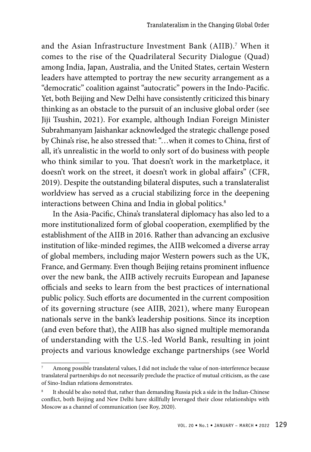and the Asian Infrastructure Investment Bank (AIIB).7 When it comes to the rise of the Quadrilateral Security Dialogue (Quad) among India, Japan, Australia, and the United States, certain Western leaders have attempted to portray the new security arrangement as a "democratic" coalition against "autocratic" powers in the Indo-Pacific. Yet, both Beijing and New Delhi have consistently criticized this binary thinking as an obstacle to the pursuit of an inclusive global order (see Jiji Tsushin, 2021). For example, although Indian Foreign Minister Subrahmanyam Jaishankar acknowledged the strategic challenge posed by China's rise, he also stressed that: "…when it comes to China, first of all, it's unrealistic in the world to only sort of do business with people who think similar to you. That doesn't work in the marketplace, it doesn't work on the street, it doesn't work in global affairs" (CFR, 2019). Despite the outstanding bilateral disputes, such a translateralist worldview has served as a crucial stabilizing force in the deepening interactions between China and India in global politics.<sup>8</sup>

In the Asia-Pacific, China's translateral diplomacy has also led to a more institutionalized form of global cooperation, exemplified by the establishment of the AIIB in 2016. Rather than advancing an exclusive institution of like-minded regimes, the AIIB welcomed a diverse array of global members, including major Western powers such as the UK, France, and Germany. Even though Beijing retains prominent influence over the new bank, the AIIB actively recruits European and Japanese officials and seeks to learn from the best practices of international public policy. Such efforts are documented in the current composition of its governing structure (see AIIB, 2021), where many European nationals serve in the bank's leadership positions. Since its inception (and even before that), the AIIB has also signed multiple memoranda of understanding with the U.S.-led World Bank, resulting in joint projects and various knowledge exchange partnerships (see World

Among possible translateral values, I did not include the value of non-interference because translateral partnerships do not necessarily preclude the practice of mutual criticism, as the case of Sino-Indian relations demonstrates.

It should be also noted that, rather than demanding Russia pick a side in the Indian-Chinese conflict, both Beijing and New Delhi have skillfully leveraged their close relationships with Moscow as a channel of communication (see Roy, 2020).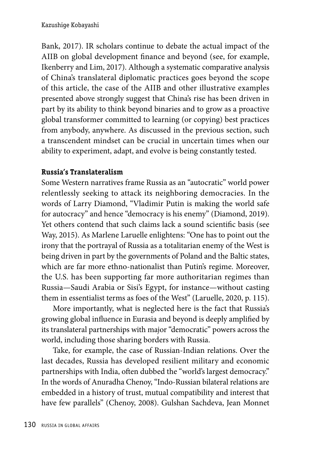Bank, 2017). IR scholars continue to debate the actual impact of the AIIB on global development finance and beyond (see, for example, Ikenberry and Lim, 2017). Although a systematic comparative analysis of China's translateral diplomatic practices goes beyond the scope of this article, the case of the AIIB and other illustrative examples presented above strongly suggest that China's rise has been driven in part by its ability to think beyond binaries and to grow as a proactive global transformer committed to learning (or copying) best practices from anybody, anywhere. As discussed in the previous section, such a transcendent mindset can be crucial in uncertain times when our ability to experiment, adapt, and evolve is being constantly tested.

## **Russia's Translateralism**

Some Western narratives frame Russia as an "autocratic" world power relentlessly seeking to attack its neighboring democracies. In the words of Larry Diamond, "Vladimir Putin is making the world safe for autocracy" and hence "democracy is his enemy" (Diamond, 2019). Yet others contend that such claims lack a sound scientific basis (see Way, 2015). As Marlene Laruelle enlightens: "One has to point out the irony that the portrayal of Russia as a totalitarian enemy of the West is being driven in part by the governments of Poland and the Baltic states, which are far more ethno-nationalist than Putin's regime. Moreover, the U.S. has been supporting far more authoritarian regimes than Russia—Saudi Arabia or Sisi's Egypt, for instance—without casting them in essentialist terms as foes of the West" (Laruelle, 2020, p. 115).

More importantly, what is neglected here is the fact that Russia's growing global influence in Eurasia and beyond is deeply amplified by its translateral partnerships with major "democratic" powers across the world, including those sharing borders with Russia.

Take, for example, the case of Russian-Indian relations. Over the last decades, Russia has developed resilient military and economic partnerships with India, often dubbed the "world's largest democracy." In the words of Anuradha Chenoy, "Indo-Russian bilateral relations are embedded in a history of trust, mutual compatibility and interest that have few parallels" (Chenoy, 2008). Gulshan Sachdeva, Jean Monnet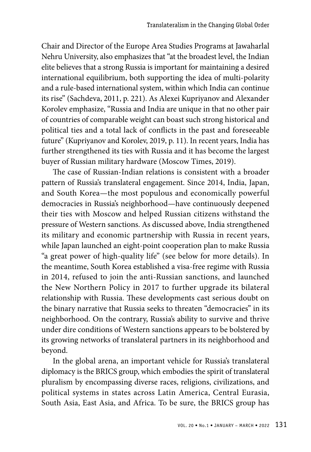Chair and Director of the Europe Area Studies Programs at Jawaharlal Nehru University, also emphasizes that "at the broadest level, the Indian elite believes that a strong Russia is important for maintaining a desired international equilibrium, both supporting the idea of multi-polarity and a rule-based international system, within which India can continue its rise" (Sachdeva, 2011, p. 221). As Alexei Kupriyanov and Alexander Korolev emphasize, "Russia and India are unique in that no other pair of countries of comparable weight can boast such strong historical and political ties and a total lack of conflicts in the past and foreseeable future" (Kupriyanov and Korolev, 2019, p. 11). In recent years, India has further strengthened its ties with Russia and it has become the largest buyer of Russian military hardware (Moscow Times, 2019).

The case of Russian-Indian relations is consistent with a broader pattern of Russia's translateral engagement. Since 2014, India, Japan, and South Korea—the most populous and economically powerful democracies in Russia's neighborhood—have continuously deepened their ties with Moscow and helped Russian citizens withstand the pressure of Western sanctions. As discussed above, India strengthened its military and economic partnership with Russia in recent years, while Japan launched an eight-point cooperation plan to make Russia "a great power of high-quality life" (see below for more details). In the meantime, South Korea established a visa-free regime with Russia in 2014, refused to join the anti-Russian sanctions, and launched the New Northern Policy in 2017 to further upgrade its bilateral relationship with Russia. These developments cast serious doubt on the binary narrative that Russia seeks to threaten "democracies" in its neighborhood. On the contrary, Russia's ability to survive and thrive under dire conditions of Western sanctions appears to be bolstered by its growing networks of translateral partners in its neighborhood and beyond.

In the global arena, an important vehicle for Russia's translateral diplomacy is the BRICS group, which embodies the spirit of translateral pluralism by encompassing diverse races, religions, civilizations, and political systems in states across Latin America, Central Eurasia, South Asia, East Asia, and Africa. To be sure, the BRICS group has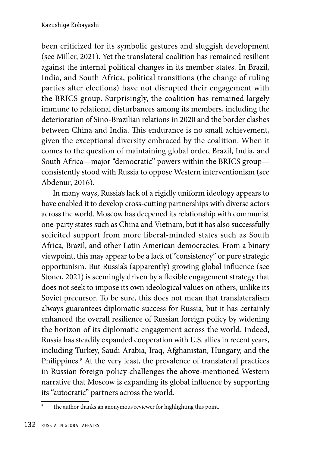been criticized for its symbolic gestures and sluggish development (see Miller, 2021). Yet the translateral coalition has remained resilient against the internal political changes in its member states. In Brazil, India, and South Africa, political transitions (the change of ruling parties after elections) have not disrupted their engagement with the BRICS group. Surprisingly, the coalition has remained largely immune to relational disturbances among its members, including the deterioration of Sino-Brazilian relations in 2020 and the border clashes between China and India. This endurance is no small achievement, given the exceptional diversity embraced by the coalition. When it comes to the question of maintaining global order, Brazil, India, and South Africa—major "democratic" powers within the BRICS group consistently stood with Russia to oppose Western interventionism (see Abdenur, 2016).

In many ways, Russia's lack of a rigidly uniform ideology appears to have enabled it to develop cross-cutting partnerships with diverse actors across the world. Moscow has deepened its relationship with communist one-party states such as China and Vietnam, but it has also successfully solicited support from more liberal-minded states such as South Africa, Brazil, and other Latin American democracies. From a binary viewpoint, this may appear to be a lack of "consistency" or pure strategic opportunism. But Russia's (apparently) growing global influence (see Stoner, 2021) is seemingly driven by a flexible engagement strategy that does not seek to impose its own ideological values on others, unlike its Soviet precursor. To be sure, this does not mean that translateralism always guarantees diplomatic success for Russia, but it has certainly enhanced the overall resilience of Russian foreign policy by widening the horizon of its diplomatic engagement across the world. Indeed, Russia has steadily expanded cooperation with U.S. allies in recent years, including Turkey, Saudi Arabia, Iraq, Afghanistan, Hungary, and the Philippines.<sup>9</sup> At the very least, the prevalence of translateral practices in Russian foreign policy challenges the above-mentioned Western narrative that Moscow is expanding its global influence by supporting its "autocratic" partners across the world.

The author thanks an anonymous reviewer for highlighting this point.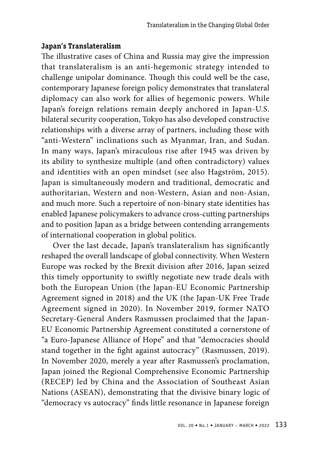## **Japan's Translateralism**

The illustrative cases of China and Russia may give the impression that translateralism is an anti-hegemonic strategy intended to challenge unipolar dominance. Though this could well be the case, contemporary Japanese foreign policy demonstrates that translateral diplomacy can also work for allies of hegemonic powers. While Japan's foreign relations remain deeply anchored in Japan-U.S. bilateral security cooperation, Tokyo has also developed constructive relationships with a diverse array of partners, including those with "anti-Western" inclinations such as Myanmar, Iran, and Sudan. In many ways, Japan's miraculous rise after 1945 was driven by its ability to synthesize multiple (and often contradictory) values and identities with an open mindset (see also Hagström, 2015). Japan is simultaneously modern and traditional, democratic and authoritarian, Western and non-Western, Asian and non-Asian, and much more. Such a repertoire of non-binary state identities has enabled Japanese policymakers to advance cross-cutting partnerships and to position Japan as a bridge between contending arrangements of international cooperation in global politics.

Over the last decade, Japan's translateralism has significantly reshaped the overall landscape of global connectivity. When Western Europe was rocked by the Brexit division after 2016, Japan seized this timely opportunity to swiftly negotiate new trade deals with both the European Union (the Japan-EU Economic Partnership Agreement signed in 2018) and the UK (the Japan-UK Free Trade Agreement signed in 2020). In November 2019, former NATO Secretary-General Anders Rasmussen proclaimed that the Japan-EU Economic Partnership Agreement constituted a cornerstone of "a Euro-Japanese Alliance of Hope" and that "democracies should stand together in the fight against autocracy" (Rasmussen, 2019). In November 2020, merely a year after Rasmussen's proclamation, Japan joined the Regional Comprehensive Economic Partnership (RECEP) led by China and the Association of Southeast Asian Nations (ASEAN), demonstrating that the divisive binary logic of "democracy vs autocracy" finds little resonance in Japanese foreign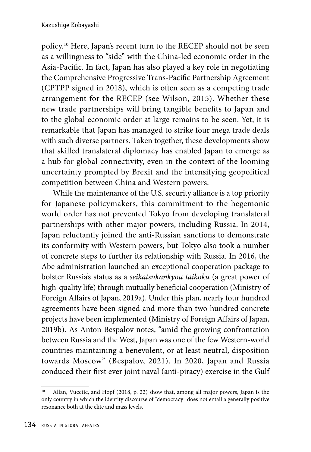policy.10 Here, Japan's recent turn to the RECEP should not be seen as a willingness to "side" with the China-led economic order in the Asia-Pacific. In fact, Japan has also played a key role in negotiating the Comprehensive Progressive Trans-Pacific Partnership Agreement (CPTPP signed in 2018), which is often seen as a competing trade arrangement for the RECEP (see Wilson, 2015). Whether these new trade partnerships will bring tangible benefits to Japan and to the global economic order at large remains to be seen. Yet, it is remarkable that Japan has managed to strike four mega trade deals with such diverse partners. Taken together, these developments show that skilled translateral diplomacy has enabled Japan to emerge as a hub for global connectivity, even in the context of the looming uncertainty prompted by Brexit and the intensifying geopolitical competition between China and Western powers.

While the maintenance of the U.S. security alliance is a top priority for Japanese policymakers, this commitment to the hegemonic world order has not prevented Tokyo from developing translateral partnerships with other major powers, including Russia. In 2014, Japan reluctantly joined the anti-Russian sanctions to demonstrate its conformity with Western powers, but Tokyo also took a number of concrete steps to further its relationship with Russia. In 2016, the Abe administration launched an exceptional cooperation package to bolster Russia's status as a *seikatsukankyou taikoku* (a great power of high-quality life) through mutually beneficial cooperation (Ministry of Foreign Affairs of Japan, 2019a). Under this plan, nearly four hundred agreements have been signed and more than two hundred concrete projects have been implemented (Ministry of Foreign Affairs of Japan, 2019b). As Anton Bespalov notes, "amid the growing confrontation between Russia and the West, Japan was one of the few Western-world countries maintaining a benevolent, or at least neutral, disposition towards Moscow" (Bespalov, 2021). In 2020, Japan and Russia conduced their first ever joint naval (anti-piracy) exercise in the Gulf

<sup>10</sup> Allan, Vucetic, and Hopf (2018, p. 22) show that, among all major powers, Japan is the only country in which the identity discourse of "democracy" does not entail a generally positive resonance both at the elite and mass levels.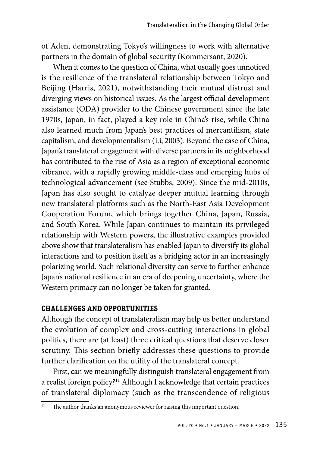of Aden, demonstrating Tokyo's willingness to work with alternative partners in the domain of global security (Kommersant, 2020).

When it comes to the question of China, what usually goes unnoticed is the resilience of the translateral relationship between Tokyo and Beijing (Harris, 2021), notwithstanding their mutual distrust and diverging views on historical issues. As the largest official development assistance (ODA) provider to the Chinese government since the late 1970s, Japan, in fact, played a key role in China's rise, while China also learned much from Japan's best practices of mercantilism, state capitalism, and developmentalism (Li, 2003). Beyond the case of China, Japan's translateral engagement with diverse partners in its neighborhood has contributed to the rise of Asia as a region of exceptional economic vibrance, with a rapidly growing middle-class and emerging hubs of technological advancement (see Stubbs, 2009). Since the mid-2010s, Japan has also sought to catalyze deeper mutual learning through new translateral platforms such as the North-East Asia Development Cooperation Forum, which brings together China, Japan, Russia, and South Korea. While Japan continues to maintain its privileged relationship with Western powers, the illustrative examples provided above show that translateralism has enabled Japan to diversify its global interactions and to position itself as a bridging actor in an increasingly polarizing world. Such relational diversity can serve to further enhance Japan's national resilience in an era of deepening uncertainty, where the Western primacy can no longer be taken for granted.

#### **CHALLENGES AND OPPORTUNITIES**

Although the concept of translateralism may help us better understand the evolution of complex and cross-cutting interactions in global politics, there are (at least) three critical questions that deserve closer scrutiny. This section briefly addresses these questions to provide further clarification on the utility of the translateral concept.

First, can we meaningfully distinguish translateral engagement from a realist foreign policy?<sup>11</sup> Although I acknowledge that certain practices of translateral diplomacy (such as the transcendence of religious

<sup>&</sup>lt;sup>11</sup> The author thanks an anonymous reviewer for raising this important question.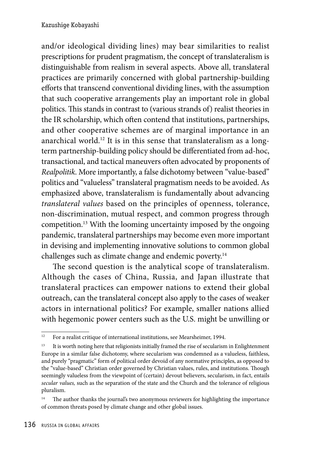and/or ideological dividing lines) may bear similarities to realist prescriptions for prudent pragmatism, the concept of translateralism is distinguishable from realism in several aspects. Above all, translateral practices are primarily concerned with global partnership-building efforts that transcend conventional dividing lines, with the assumption that such cooperative arrangements play an important role in global politics. This stands in contrast to (various strands of) realist theories in the IR scholarship, which often contend that institutions, partnerships, and other cooperative schemes are of marginal importance in an anarchical world.12 It is in this sense that translateralism as a longterm partnership-building policy should be differentiated from ad-hoc, transactional, and tactical maneuvers often advocated by proponents of *Realpolitik*. More importantly, a false dichotomy between "value-based" politics and "valueless" translateral pragmatism needs to be avoided. As emphasized above, translateralism is fundamentally about advancing *translateral values* based on the principles of openness, tolerance, non-discrimination, mutual respect, and common progress through competition.13 With the looming uncertainty imposed by the ongoing pandemic, translateral partnerships may become even more important in devising and implementing innovative solutions to common global challenges such as climate change and endemic poverty.14

The second question is the analytical scope of translateralism. Although the cases of China, Russia, and Japan illustrate that translateral practices can empower nations to extend their global outreach, can the translateral concept also apply to the cases of weaker actors in international politics? For example, smaller nations allied with hegemonic power centers such as the U.S. might be unwilling or

 $12$  For a realist critique of international institutions, see Mearsheimer, 1994.

<sup>&</sup>lt;sup>13</sup> It is worth noting here that religionists initially framed the rise of secularism in Enlightenment Europe in a similar false dichotomy, where secularism was condemned as a valueless, faithless, and purely "pragmatic" form of political order devoid of any normative principles, as opposed to the "value-based" Christian order governed by Christian values, rules, and institutions. Though seemingly valueless from the viewpoint of (certain) devout believers, secularism, in fact, entails *secular values,* such as the separation of the state and the Church and the tolerance of religious pluralism.

<sup>&</sup>lt;sup>14</sup> The author thanks the journal's two anonymous reviewers for highlighting the importance of common threats posed by climate change and other global issues.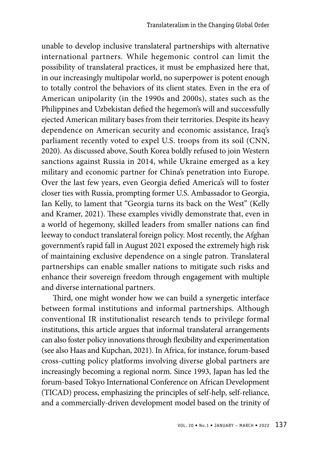unable to develop inclusive translateral partnerships with alternative international partners. While hegemonic control can limit the possibility of translateral practices, it must be emphasized here that, in our increasingly multipolar world, no superpower is potent enough to totally control the behaviors of its client states. Even in the era of American unipolarity (in the 1990s and 2000s), states such as the Philippines and Uzbekistan defied the hegemon's will and successfully ejected American military bases from their territories. Despite its heavy dependence on American security and economic assistance, Iraq's parliament recently voted to expel U.S. troops from its soil (CNN, 2020). As discussed above, South Korea boldly refused to join Western sanctions against Russia in 2014, while Ukraine emerged as a key military and economic partner for China's penetration into Europe. Over the last few years, even Georgia defied America's will to foster closer ties with Russia, prompting former U.S. Ambassador to Georgia, Ian Kelly, to lament that "Georgia turns its back on the West" (Kelly and Kramer, 2021). These examples vividly demonstrate that, even in a world of hegemony, skilled leaders from smaller nations can find leeway to conduct translateral foreign policy. Most recently, the Afghan government's rapid fall in August 2021 exposed the extremely high risk of maintaining exclusive dependence on a single patron. Translateral partnerships can enable smaller nations to mitigate such risks and enhance their sovereign freedom through engagement with multiple and diverse international partners.

Third, one might wonder how we can build a synergetic interface between formal institutions and informal partnerships. Although conventional IR institutionalist research tends to privilege formal institutions, this article argues that informal translateral arrangements can also foster policy innovations through flexibility and experimentation (see also Haas and Kupchan, 2021). In Africa, for instance, forum-based cross-cutting policy platforms involving diverse global partners are increasingly becoming a regional norm. Since 1993, Japan has led the forum-based Tokyo International Conference on African Development (TICAD) process, emphasizing the principles of self-help, self-reliance, and a commercially-driven development model based on the trinity of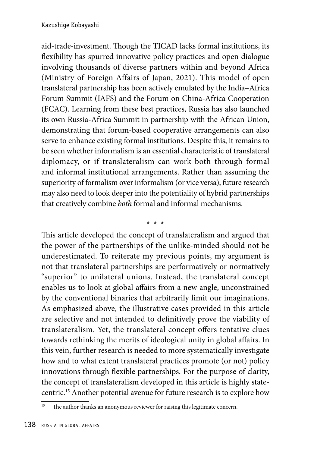aid-trade-investment. Though the TICAD lacks formal institutions, its flexibility has spurred innovative policy practices and open dialogue involving thousands of diverse partners within and beyond Africa (Ministry of Foreign Affairs of Japan, 2021). This model of open translateral partnership has been actively emulated by the India–Africa Forum Summit (IAFS) and the Forum on China-Africa Cooperation (FCAC). Learning from these best practices, Russia has also launched its own Russia-Africa Summit in partnership with the African Union, demonstrating that forum-based cooperative arrangements can also serve to enhance existing formal institutions. Despite this, it remains to be seen whether informalism is an essential characteristic of translateral diplomacy, or if translateralism can work both through formal and informal institutional arrangements. Rather than assuming the superiority of formalism over informalism (or vice versa), future research may also need to look deeper into the potentiality of hybrid partnerships that creatively combine *both* formal and informal mechanisms.

This article developed the concept of translateralism and argued that the power of the partnerships of the unlike-minded should not be underestimated. To reiterate my previous points, my argument is not that translateral partnerships are performatively or normatively "superior" to unilateral unions. Instead, the translateral concept enables us to look at global affairs from a new angle, unconstrained by the conventional binaries that arbitrarily limit our imaginations. As emphasized above, the illustrative cases provided in this article are selective and not intended to definitively prove the viability of translateralism. Yet, the translateral concept offers tentative clues towards rethinking the merits of ideological unity in global affairs. In this vein, further research is needed to more systematically investigate how and to what extent translateral practices promote (or not) policy innovations through flexible partnerships. For the purpose of clarity, the concept of translateralism developed in this article is highly statecentric.15 Another potential avenue for future research is to explore how

\* \* \*

<sup>&</sup>lt;sup>15</sup> The author thanks an anonymous reviewer for raising this legitimate concern.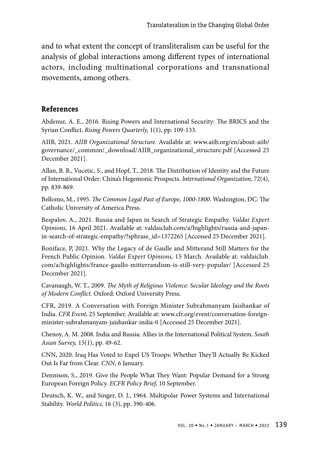and to what extent the concept of transliteralism can be useful for the analysis of global interactions among different types of international actors, including multinational corporations and transnational movements, among others.

## **References**

Abdenur, A. E., 2016. Rising Powers and International Security: The BRICS and the Syrian Conflict. *Rising Powers Quarterly,* 1(1), pp. 109-133.

AIIB, 2021. *AIIB Organizational Structure.* Available at: www.aiib.org/en/about-aiib/ governance/\_common/\_download/AIIB\_organizational\_structure.pdf [Accessed 25 December 2021].

Allan, B. B., Vucetic, S., and Hopf, T., 2018. The Distribution of Identity and the Future of International Order: China's Hegemonic Prospects. *International Organization,* 72(4), pp. 839-869.

Bellomo, M., 1995. *The Common Legal Past of Europe, 1000-1800.* Washington, DC: The Catholic University of America Press.

Bespalov, A., 2021. Russia and Japan in Search of Strategic Empathy. *Valdai Expert Opinions,* 16 April 2021. Available at: valdaiclub.com/a/highlights/russia-and-japanin-search-of-strategic-empathy/?sphrase\_id=1372265 [Accessed 25 December 2021].

Boniface, P, 2021. Why the Legacy of de Gaulle and Mitterand Still Matters for the French Public Opinion. *Valdai Expert Opinions,* 15 March. Available at: valdaiclub. com/a/highlights/france-gaullo-mitterrandism-is-still-very-popular/ [Accessed 25 December 2021].

Cavanaugh, W. T., 2009. *The Myth of Religious Violence: Secular Ideology and the Roots of Modern Conflict.* Oxford: Oxford University Press.

CFR, 2019. A Conversation with Foreign Minister Subrahmanyam Jaishankar of India. *CFR Event,* 25 September. Available at: www.cfr.org/event/conversation-foreignminister-subrahmanyam-jaishankar-india-0 [Accessed 25 December 2021].

Chenoy, A. M. 2008. India and Russia: Allies in the International Political System. *South Asian Survey,* 15(1), pp. 49-62.

CNN, 2020. Iraq Has Voted to Expel US Troops: Whether They'll Actually Be Kicked Out Is Far from Clear. *CNN*, 6 January.

Dennison, S., 2019. Give the People What They Want: Popular Demand for a Strong European Foreign Policy. *ECFR Policy Brief,* 10 September.

Deutsch, K. W., and Singer, D. J., 1964. Multipolar Power Systems and International Stability. *World Politics,* 16 (3), pp. 390-406.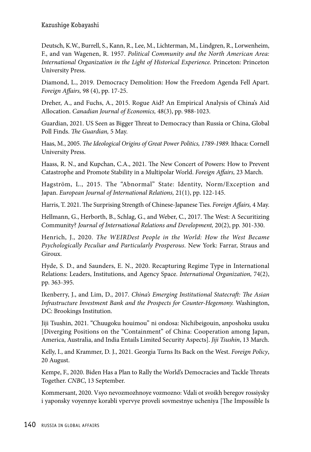Deutsch, K.W., Burrell, S., Kann, R., Lee, M., Lichterman, M., Lindgren, R., Lorwenheim, F., and van Wagenen, R. 1957. *Political Community and the North American Area: International Organization in the Light of Historical Experience.* Princeton: Princeton University Press.

Diamond, L., 2019. Democracy Demolition: How the Freedom Agenda Fell Apart. *Foreign Affairs,* 98 (4), pp. 17-25.

Dreher, A., and Fuchs, A., 2015. Rogue Aid? An Empirical Analysis of China's Aid Allocation. *Canadian Journal of Economics,* 48(3), pp. 988-1023.

Guardian, 2021. US Seen as Bigger Threat to Democracy than Russia or China, Global Poll Finds. *The Guardian,* 5 May.

Haas, M., 2005. *The Ideological Origins of Great Power Politics, 1789-1989.* Ithaca: Cornell University Press.

Haass, R. N., and Kupchan, C.A., 2021. The New Concert of Powers: How to Prevent Catastrophe and Promote Stability in a Multipolar World. *Foreign Affairs,* 23 March.

Hagström, L., 2015. The "Abnormal" State: Identity, Norm/Exception and Japan. *European Journal of International Relations,* 21(1), pp. 122-145.

Harris, T. 2021. The Surprising Strength of Chinese-Japanese Ties. *Foreign Affairs,* 4 May.

Hellmann, G., Herborth, B., Schlag, G., and Weber, C., 2017. The West: A Securitizing Community? *Journal of International Relations and Development,* 20(2), pp. 301-330.

Henrich, J., 2020. *The WEIRDest People in the World: How the West Became Psychologically Peculiar and Particularly Prosperous.* New York: Farrar, Straus and Giroux.

Hyde, S. D., and Saunders, E. N., 2020. Recapturing Regime Type in International Relations: Leaders, Institutions, and Agency Space. *International Organization,* 74(2), pp. 363-395.

Ikenberry, J., and Lim, D., 2017. *China's Emerging Institutional Statecraft: The Asian Infrastructure Investment Bank and the Prospects for Counter-Hegemony.* Washington, DC: Brookings Institution.

Jiji Tsushin, 2021. "Chuugoku houimou" ni ondosa: Nichibeigouin, anposhoku usuku [Diverging Positions on the "Containment" of China: Cooperation among Japan, America, Australia, and India Entails Limited Security Aspects]. *Jiji Tsushin*, 13 March.

Kelly, I., and Krammer, D. J., 2021. Georgia Turns Its Back on the West. *Foreign Policy*, 20 August.

Kempe, F., 2020. Biden Has a Plan to Rally the World's Democracies and Tackle Threats Together. *CNBC*, 13 September.

Kommersant, 2020. Vsyo nevozmozhnoye vozmozno: Vdali ot svoikh beregov rossiysky i yaponsky voyennye korabli vpervye proveli sovmestnye ucheniya [The Impossible Is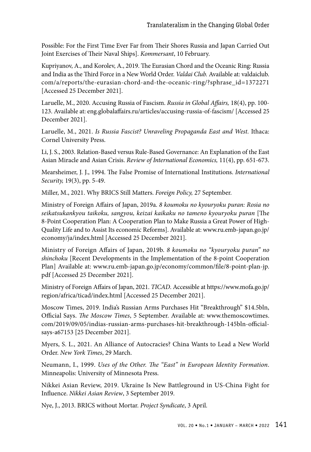Possible: For the First Time Ever Far from Their Shores Russia and Japan Carried Out Joint Exercises of Their Naval Ships]. *Kommersant*, 10 February.

Kupriyanov, A., and Korolev, A., 2019. The Eurasian Chord and the Oceanic Ring: Russia and India as the Third Force in a New World Order. *Valdai Club.* Available at: valdaiclub. com/a/reports/the-eurasian-chord-and-the-oceanic-ring/?sphrase\_id=1372271 [Accessed 25 December 2021].

Laruelle, M., 2020. Accusing Russia of Fascism. *Russia in Global Affairs,* 18(4), pp. 100- 123. Available at: eng.globalaffairs.ru/articles/accusing-russia-of-fascism/ [Accessed 25 December 2021].

Laruelle, M., 2021. *Is Russia Fascist? Unraveling Propaganda East and West.* Ithaca: Cornel University Press.

Li, J. S., 2003. Relation-Based versus Rule-Based Governance: An Explanation of the East Asian Miracle and Asian Crisis. *Review of International Economics,* 11(4), pp. 651-673.

Mearsheimer, J. J., 1994. The False Promise of International Institutions. *International Security,* 19(3), pp. 5-49.

Miller, M., 2021. Why BRICS Still Matters. *Foreign Policy,* 27 September.

Ministry of Foreign Affairs of Japan, 2019a. *8 koumoku no kyouryoku puran: Rosia no seikatsukankyou taikoku, sangyou, keizai kaikaku no tameno kyouryoku puran* [The 8-Point Cooperation Plan: A Cooperation Plan to Make Russia a Great Power of High-Quality Life and to Assist Its economic Reforms]. Available at: www.ru.emb-japan.go.jp/ economy/ja/index.html [Accessed 25 December 2021].

Ministry of Foreign Affairs of Japan, 2019b. *8 koumoku no "kyouryoku puran" no shinchoku* [Recent Developments in the Implementation of the 8-point Cooperation Plan] Available at: www.ru.emb-japan.go.jp/economy/common/file/8-point-plan-jp. pdf [Accessed 25 December 2021].

Ministry of Foreign Affairs of Japan, 2021. *TICAD*. Accessible at https://www.mofa.go.jp/ region/africa/ticad/index.html [Accessed 25 December 2021].

Moscow Times, 2019. India's Russian Arms Purchases Hit "Breakthrough" \$14.5bln, Official Says. *The Moscow Times*, 5 September. Available at: www.themoscowtimes. com/2019/09/05/indias-russian-arms-purchases-hit-breakthrough-145bln-officialsays-a67153 [25 December 2021].

Myers, S. L., 2021. An Alliance of Autocracies? China Wants to Lead a New World Order. *New York Times*, 29 March.

Neumann, I., 1999. *Uses of the Other. The "East" in European Identity Formation*. Minneapolis: University of Minnesota Press.

Nikkei Asian Review, 2019. Ukraine Is New Battleground in US-China Fight for Influence. *Nikkei Asian Review*, 3 September 2019.

Nye, J., 2013. BRICS without Mortar. *Project Syndicate*, 3 April.